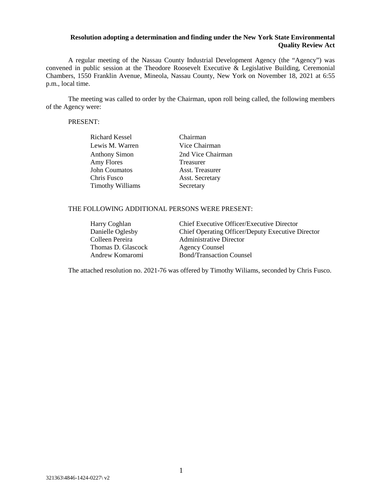## **Resolution adopting a determination and finding under the New York State Environmental Quality Review Act**

A regular meeting of the Nassau County Industrial Development Agency (the "Agency") was convened in public session at the Theodore Roosevelt Executive & Legislative Building, Ceremonial Chambers, 1550 Franklin Avenue, Mineola, Nassau County, New York on November 18, 2021 at 6:55 p.m., local time.

The meeting was called to order by the Chairman, upon roll being called, the following members of the Agency were:

#### PRESENT:

| Richard Kessel          | Chairman               |
|-------------------------|------------------------|
| Lewis M. Warren         | Vice Chairman          |
| <b>Anthony Simon</b>    | 2nd Vice Chairman      |
| Amy Flores              | Treasurer              |
| John Coumatos           | Asst. Treasurer        |
| Chris Fusco             | <b>Asst. Secretary</b> |
| <b>Timothy Williams</b> | Secretary              |

### THE FOLLOWING ADDITIONAL PERSONS WERE PRESENT:

| Harry Coghlan      | Chief Executive Officer/Executive Director        |
|--------------------|---------------------------------------------------|
| Danielle Oglesby   | Chief Operating Officer/Deputy Executive Director |
| Colleen Pereira    | Administrative Director                           |
| Thomas D. Glascock | <b>Agency Counsel</b>                             |
| Andrew Komaromi    | <b>Bond/Transaction Counsel</b>                   |

The attached resolution no. 2021-76 was offered by Timothy Wiliams, seconded by Chris Fusco.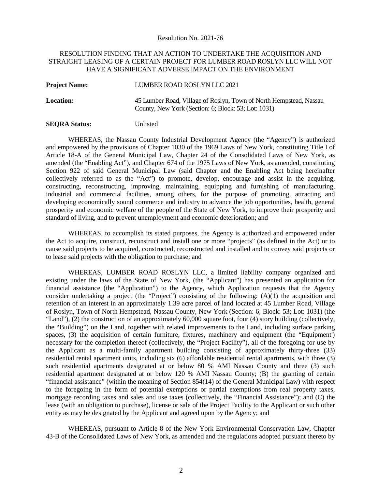Resolution No. 2021-76

#### RESOLUTION FINDING THAT AN ACTION TO UNDERTAKE THE ACQUISITION AND STRAIGHT LEASING OF A CERTAIN PROJECT FOR LUMBER ROAD ROSLYN LLC WILL NOT HAVE A SIGNIFICANT ADVERSE IMPACT ON THE ENVIRONMENT

| <b>Project Name:</b> | LUMBER ROAD ROSLYN LLC 2021                                                                                               |
|----------------------|---------------------------------------------------------------------------------------------------------------------------|
| <b>Location:</b>     | 45 Lumber Road, Village of Roslyn, Town of North Hempstead, Nassau<br>County, New York (Section: 6; Block: 53; Lot: 1031) |

#### **SEQRA Status:** Unlisted

WHEREAS, the Nassau County Industrial Development Agency (the "Agency") is authorized and empowered by the provisions of Chapter 1030 of the 1969 Laws of New York, constituting Title I of Article 18-A of the General Municipal Law, Chapter 24 of the Consolidated Laws of New York, as amended (the "Enabling Act"), and Chapter 674 of the 1975 Laws of New York, as amended, constituting Section 922 of said General Municipal Law (said Chapter and the Enabling Act being hereinafter collectively referred to as the "Act") to promote, develop, encourage and assist in the acquiring, constructing, reconstructing, improving, maintaining, equipping and furnishing of manufacturing, industrial and commercial facilities, among others, for the purpose of promoting, attracting and developing economically sound commerce and industry to advance the job opportunities, health, general prosperity and economic welfare of the people of the State of New York, to improve their prosperity and standard of living, and to prevent unemployment and economic deterioration; and

WHEREAS, to accomplish its stated purposes, the Agency is authorized and empowered under the Act to acquire, construct, reconstruct and install one or more "projects" (as defined in the Act) or to cause said projects to be acquired, constructed, reconstructed and installed and to convey said projects or to lease said projects with the obligation to purchase; and

WHEREAS, LUMBER ROAD ROSLYN LLC, a limited liability company organized and existing under the laws of the State of New York, (the "Applicant") has presented an application for financial assistance (the "Application") to the Agency, which Application requests that the Agency consider undertaking a project (the "Project") consisting of the following: (A)(1) the acquisition and retention of an interest in an approximately 1.39 acre parcel of land located at 45 Lumber Road, Village of Roslyn, Town of North Hempstead, Nassau County, New York (Section: 6; Block: 53; Lot: 1031) (the "Land"), (2) the construction of an approximately 60,000 square foot, four (4) story building (collectively, the "Building") on the Land, together with related improvements to the Land, including surface parking spaces, (3) the acquisition of certain furniture, fixtures, machinery and equipment (the "Equipment') necessary for the completion thereof (collectively, the "Project Facility"), all of the foregoing for use by the Applicant as a multi-family apartment building consisting of approximately thirty-three (33) residential rental apartment units, including six (6) affordable residential rental apartments, with three (3) such residential apartments designated at or below 80 % AMI Nassau County and three (3) such residential apartment designated at or below 120 % AMI Nassau County; (B) the granting of certain "financial assistance" (within the meaning of Section 854(14) of the General Municipal Law) with respect to the foregoing in the form of potential exemptions or partial exemptions from real property taxes, mortgage recording taxes and sales and use taxes (collectively, the "Financial Assistance"); and (C) the lease (with an obligation to purchase), license or sale of the Project Facility to the Applicant or such other entity as may be designated by the Applicant and agreed upon by the Agency; and

WHEREAS, pursuant to Article 8 of the New York Environmental Conservation Law, Chapter 43-B of the Consolidated Laws of New York, as amended and the regulations adopted pursuant thereto by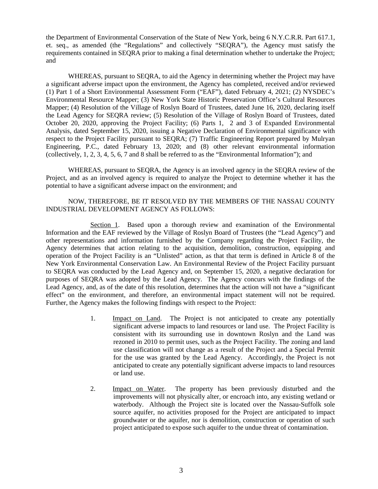the Department of Environmental Conservation of the State of New York, being 6 N.Y.C.R.R. Part 617.1, et. seq., as amended (the "Regulations" and collectively "SEQRA"), the Agency must satisfy the requirements contained in SEQRA prior to making a final determination whether to undertake the Project; and

WHEREAS, pursuant to SEQRA, to aid the Agency in determining whether the Project may have a significant adverse impact upon the environment, the Agency has completed, received and/or reviewed (1) Part 1 of a Short Environmental Assessment Form ("EAF"), dated February 4, 2021; (2) NYSDEC's Environmental Resource Mapper; (3) New York State Historic Preservation Office's Cultural Resources Mapper; (4) Resolution of the Village of Roslyn Board of Trustees, dated June 16, 2020, declaring itself the Lead Agency for SEQRA review; (5) Resolution of the Village of Roslyn Board of Trustees, dated October 20, 2020, approving the Project Facility; (6) Parts 1, 2 and 3 of Expanded Environmental Analysis, dated September 15, 2020, issuing a Negative Declaration of Environmental significance with respect to the Project Facility pursuant to SEQRA; (7) Traffic Engineering Report prepared by Mulryan Engineering, P.C., dated February 13, 2020; and (8) other relevant environmental information (collectively, 1, 2, 3, 4, 5, 6, 7 and 8 shall be referred to as the "Environmental Information"); and

WHEREAS, pursuant to SEQRA, the Agency is an involved agency in the SEQRA review of the Project, and as an involved agency is required to analyze the Project to determine whether it has the potential to have a significant adverse impact on the environment; and

### NOW, THEREFORE, BE IT RESOLVED BY THE MEMBERS OF THE NASSAU COUNTY INDUSTRIAL DEVELOPMENT AGENCY AS FOLLOWS:

Section 1. Based upon a thorough review and examination of the Environmental Information and the EAF reviewed by the Village of Roslyn Board of Trustees (the "Lead Agency") and other representations and information furnished by the Company regarding the Project Facility, the Agency determines that action relating to the acquisition, demolition, construction, equipping and operation of the Project Facility is an "Unlisted" action, as that that term is defined in Article 8 of the New York Environmental Conservation Law. An Environmental Review of the Project Facility pursuant to SEQRA was conducted by the Lead Agency and, on September 15, 2020, a negative declaration for purposes of SEQRA was adopted by the Lead Agency. The Agency concurs with the findings of the Lead Agency, and, as of the date of this resolution, determines that the action will not have a "significant effect" on the environment, and therefore, an environmental impact statement will not be required. Further, the Agency makes the following findings with respect to the Project:

- 1. Impact on Land. The Project is not anticipated to create any potentially significant adverse impacts to land resources or land use. The Project Facility is consistent with its surrounding use in downtown Roslyn and the Land was rezoned in 2010 to permit uses, such as the Project Facility. The zoning and land use classification will not change as a result of the Project and a Special Permit for the use was granted by the Lead Agency. Accordingly, the Project is not anticipated to create any potentially significant adverse impacts to land resources or land use.
- 2. Impact on Water. The property has been previously disturbed and the improvements will not physically alter, or encroach into, any existing wetland or waterbody. Although the Project site is located over the Nassau-Suffolk sole source aquifer, no activities proposed for the Project are anticipated to impact groundwater or the aquifer, nor is demolition, construction or operation of such project anticipated to expose such aquifer to the undue threat of contamination.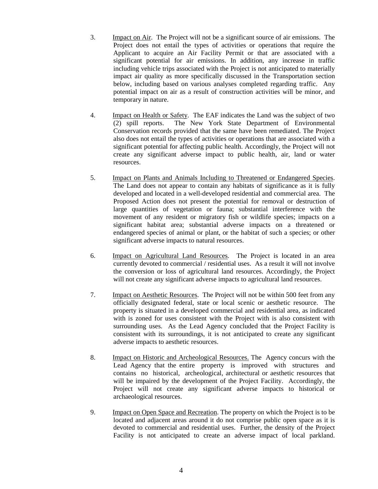- 3. Impact on Air. The Project will not be a significant source of air emissions. The Project does not entail the types of activities or operations that require the Applicant to acquire an Air Facility Permit or that are associated with a significant potential for air emissions. In addition, any increase in traffic including vehicle trips associated with the Project is not anticipated to materially impact air quality as more specifically discussed in the Transportation section below, including based on various analyses completed regarding traffic. Any potential impact on air as a result of construction activities will be minor, and temporary in nature.
- 4. Impact on Health or Safety. The EAF indicates the Land was the subject of two (2) spill reports. The New York State Department of Environmental Conservation records provided that the same have been remediated. The Project also does not entail the types of activities or operations that are associated with a significant potential for affecting public health. Accordingly, the Project will not create any significant adverse impact to public health, air, land or water resources.
- 5. Impact on Plants and Animals Including to Threatened or Endangered Species. The Land does not appear to contain any habitats of significance as it is fully developed and located in a well-developed residential and commercial area. The Proposed Action does not present the potential for removal or destruction of large quantities of vegetation or fauna; substantial interference with the movement of any resident or migratory fish or wildlife species; impacts on a significant habitat area; substantial adverse impacts on a threatened or endangered species of animal or plant, or the habitat of such a species; or other significant adverse impacts to natural resources.
- 6. Impact on Agricultural Land Resources. The Project is located in an area currently devoted to commercial / residential uses. As a result it will not involve the conversion or loss of agricultural land resources. Accordingly, the Project will not create any significant adverse impacts to agricultural land resources.
- 7. Impact on Aesthetic Resources. The Project will not be within 500 feet from any officially designated federal, state or local scenic or aesthetic resource. The property is situated in a developed commercial and residential area, as indicated with is zoned for uses consistent with the Project with is also consistent with surrounding uses. As the Lead Agency concluded that the Project Facility is consistent with its surroundings, it is not anticipated to create any significant adverse impacts to aesthetic resources.
- 8. Impact on Historic and Archeological Resources. The Agency concurs with the Lead Agency that the entire property is improved with structures and contains no historical, archeological, architectural or aesthetic resources that will be impaired by the development of the Project Facility. Accordingly, the Project will not create any significant adverse impacts to historical or archaeological resources.
- 9. Impact on Open Space and Recreation. The property on which the Project is to be located and adjacent areas around it do not comprise public open space as it is devoted to commercial and residential uses. Further, the density of the Project Facility is not anticipated to create an adverse impact of local parkland.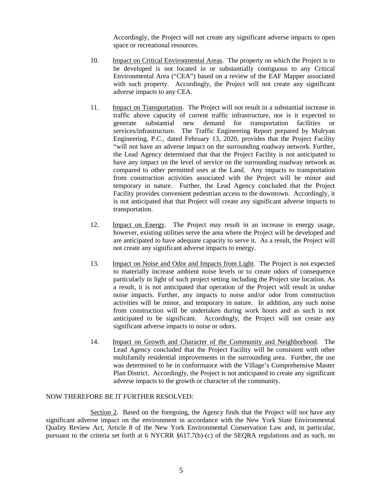Accordingly, the Project will not create any significant adverse impacts to open space or recreational resources.

- 10. Impact on Critical Environmental Areas. The property on which the Project is to be developed is not located in or substantially contiguous to any Critical Environmental Area ("CEA") based on a review of the EAF Mapper associated with such property. Accordingly, the Project will not create any significant adverse impacts to any CEA.
- 11. Impact on Transportation. The Project will not result in a substantial increase in traffic above capacity of current traffic infrastructure, nor is it expected to generate substantial new demand for transportation facilities or services/infrastructure. The Traffic Engineering Report prepared by Mulryan Engineering, P.C., dated February 13, 2020, provides that the Project Facility "will not have an adverse impact on the surrounding roadway network. Further, the Lead Agency determined that that the Project Facility is not anticipated to have any impact on the level of service on the surrounding roadway network as compared to other permitted uses at the Land. Any impacts to transportation from construction activities associated with the Project will be minor and temporary in nature. Further, the Lead Agency concluded that the Project Facility provides convenient pedestrian access to the downtown. Accordingly, it is not anticipated that that Project will create any significant adverse impacts to transportation.
- 12. Impact on Energy. The Project may result in an increase in energy usage, however, existing utilities serve the area where the Project will be developed and are anticipated to have adequate capacity to serve it. As a result, the Project will not create any significant adverse impacts to energy.
- 13. Impact on Noise and Odor and Impacts from Light. The Project is not expected to materially increase ambient noise levels or to create odors of consequence particularly in light of such project setting including the Project site location. As a result, it is not anticipated that operation of the Project will result in undue noise impacts. Further, any impacts to noise and/or odor from construction activities will be minor, and temporary in nature. In addition, any such noise from construction will be undertaken during work hours and as such is not anticipated to be significant. Accordingly, the Project will not create any significant adverse impacts to noise or odors.
- 14. Impact on Growth and Character of the Community and Neighborhood. The Lead Agency concluded that the Project Facility will be consistent with other multifamily residential improvements in the surrounding area. Further, the use was determined to be in conformance with the Village's Comprehensive Master Plan District. Accordingly, the Project is not anticipated to create any significant adverse impacts to the growth or character of the community.

#### NOW THEREFORE BE IT FURTHER RESOLVED:

Section 2. Based on the foregoing, the Agency finds that the Project will not have any significant adverse impact on the environment in accordance with the New York State Environmental Quality Review Act, Article 8 of the New York Environmental Conservation Law and, in particular, pursuant to the criteria set forth at 6 NYCRR §617.7(b)-(c) of the SEQRA regulations and as such, no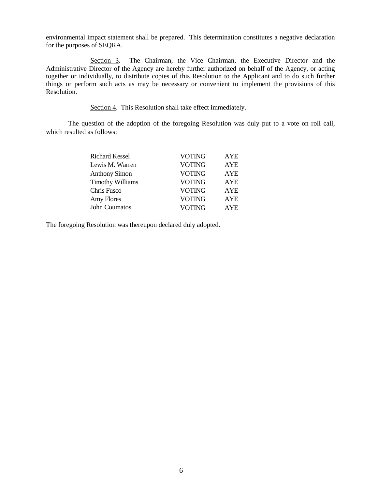environmental impact statement shall be prepared. This determination constitutes a negative declaration for the purposes of SEQRA.

Section 3. The Chairman, the Vice Chairman, the Executive Director and the Administrative Director of the Agency are hereby further authorized on behalf of the Agency, or acting together or individually, to distribute copies of this Resolution to the Applicant and to do such further things or perform such acts as may be necessary or convenient to implement the provisions of this Resolution.

Section 4. This Resolution shall take effect immediately.

The question of the adoption of the foregoing Resolution was duly put to a vote on roll call, which resulted as follows:

| <b>Richard Kessel</b>   | <b>VOTING</b> | AYE        |
|-------------------------|---------------|------------|
| Lewis M. Warren         | <b>VOTING</b> | <b>AYE</b> |
| <b>Anthony Simon</b>    | <b>VOTING</b> | AYE        |
| <b>Timothy Williams</b> | <b>VOTING</b> | AYE        |
| Chris Fusco             | <b>VOTING</b> | <b>AYE</b> |
| Amy Flores              | <b>VOTING</b> | AYE        |
| <b>John Coumatos</b>    | <b>VOTING</b> | <b>AYE</b> |

The foregoing Resolution was thereupon declared duly adopted.